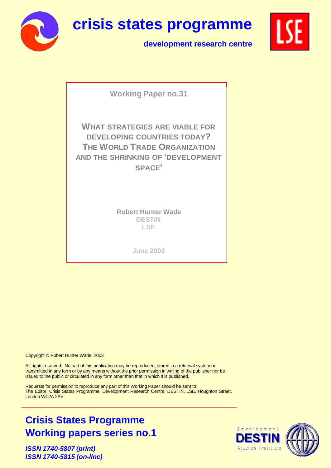

# **crisis states programme**

**development research centre**



**Working Paper no.31**

**WHAT STRATEGIES ARE VIABLE FOR DEVELOPING COUNTRIES TODAY? THE WORLD TRADE ORGANIZATION AND THE SHRINKING OF 'DEVELOPMENT SPACE'**

> **Robert Hunter Wade DESTIN LSE**

> > **June 2003**

Copyright © Robert Hunter Wade, 2003

All rights reserved. No part of this publication may be reproduced, stored in a retrieval system or transmitted in any form or by any means without the prior permission in writing of the publisher nor be issued to the public or circulated in any form other than that in which it is published.

Requests for permission to reproduce any part of this Working Paper should be sent to: The Editor, Crisis States Programme, Development Research Centre, DESTIN, LSE, Houghton Street, London WC2A 2AE.

# **Crisis States Programme Working papers series no.1**

*ISSN 1740-5807 (print) ISSN 1740-5815 (on-line)*



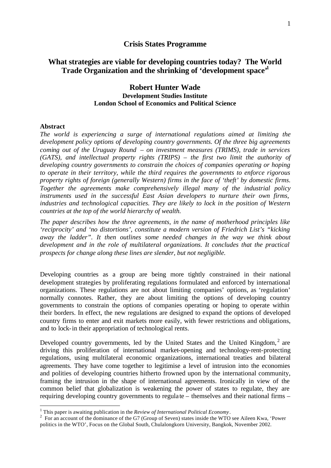#### **Crisis States Programme**

# **What strategies are viable for developing countries today? The World Trade Organization and the shrinking of 'development space'<sup>1</sup>**

### **Robert Hunter Wade Development Studies Institute London School of Economics and Political Science**

#### **Abstract**

l

*The world is experiencing a surge of international regulations aimed at limiting the development policy options of developing country governments. Of the three big agreements coming out of the Uruguay Round – on investment measures (TRIMS), trade in services (GATS), and intellectual property rights (TRIPS) – the first two limit the authority of developing country governments to constrain the choices of companies operating or hoping to operate in their territory, while the third requires the governments to enforce rigorous property rights of foreign (generally Western) firms in the face of 'theft' by domestic firms. Together the agreements make comprehensively illegal many of the industrial policy instruments used in the successful East Asian developers to nurture their own firms, industries and technological capacities. They are likely to lock in the position of Western countries at the top of the world hierarchy of wealth.* 

*The paper describes how the three agreements, in the name of motherhood principles like 'reciprocity' and 'no distortions', constitute a modern version of Friedrich List's "kicking away the ladder". It then outlines some needed changes in the way we think about development and in the role of multilateral organizations. It concludes that the practical prospects for change along these lines are slender, but not negligible.*

Developing countries as a group are being more tightly constrained in their national development strategies by proliferating regulations formulated and enforced by international organizations. These regulations are not about limiting companies' options, as 'regulation' normally connotes. Rather, they are about limiting the options of developing country governments to constrain the options of companies operating or hoping to operate within their borders. In effect, the new regulations are designed to expand the options of developed country firms to enter and exit markets more easily, with fewer restrictions and obligations, and to lock-in their appropriation of technological rents.

Developed country governments, led by the United States and the United Kingdom, $2$  are driving this proliferation of international market-opening and technology-rent-protecting regulations, using multilateral economic organizations, international treaties and bilateral agreements. They have come together to legitimise a level of intrusion into the economies and polities of developing countries hitherto frowned upon by the international community, framing the intrusion in the shape of international agreements. Ironically in view of the common belief that globalization is weakening the power of states to regulate, they are requiring developing country governments to regula te – themselves and their national firms –

<sup>&</sup>lt;sup>1</sup> This paper is awaiting publication in the *Review of International Political Economy*.

<sup>&</sup>lt;sup>2</sup> For an account of the dominance of the G7 (Group of Seven) states inside the WTO see Aileen Kwa, 'Power politics in the WTO', Focus on the Global South, Chulalongkorn University, Bangkok, November 2002.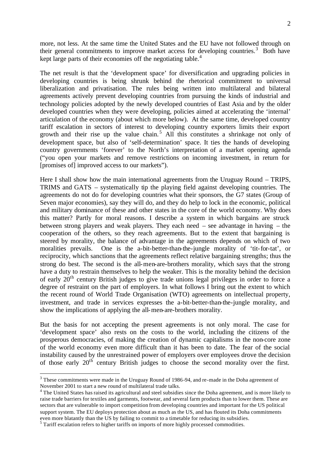more, not less. At the same time the United States and the EU have not followed through on their general commitments to improve market access for developing countries.<sup>3</sup> Both have kept large parts of their economies off the negotiating table.<sup>4</sup>

The net result is that the 'development space' for diversification and upgrading policies in developing countries is being shrunk behind the rhetorical commitment to universal liberalization and privatisation. The rules being written into multilateral and bilateral agreements actively prevent developing countries from pursuing the kinds of industrial and technology policies adopted by the newly developed countries of East Asia and by the older developed countries when they were developing, policies aimed at accelerating the 'internal' articulation of the economy (about which more below). At the same time, developed country tariff escalation in sectors of interest to developing country exporters limits their export growth and their rise up the value chain.<sup>5</sup> All this constitutes a shrinkage not only of development space, but also of 'self-determination' space. It ties the hands of developing country governments 'forever' to the North's interpretation of a market opening agenda ("you open your markets and remove restrictions on incoming investment, in return for [promises of] improved access to our markets").

Here I shall show how the main international agreements from the Uruguay Round – TRIPS, TRIMS and GATS – systematically tip the playing field against developing countries. The agreements do not do for developing countries what their sponsors, the G7 states (Group of Seven major economies), say they will do, and they do help to lock in the economic, political and military dominance of these and other states in the core of the world economy. Why does this matter? Partly for moral reasons. I describe a system in which bargains are struck between strong players and weak players. They each need – see advantage in having – the cooperation of the others, so they reach agreements. But to the extent that bargaining is steered by morality, the balance of advantage in the agreements depends on which of two moralities prevails. One is the a-bit-better-than-the-jungle morality of 'tit-for-tat', or reciprocity, which sanctions that the agreements reflect relative bargaining strengths; thus the strong do best. The second is the all-men-are-brothers morality, which says that the strong have a duty to restrain themselves to help the weaker. This is the morality behind the decision of early 20th century British judges to give trade unions legal privileges in order to force a degree of restraint on the part of employers. In what follows I bring out the extent to which the recent round of World Trade Organisation (WTO) agreements on intellectual property, investment, and trade in services expresses the a-bit-better-than-the-jungle morality, and show the implications of applying the all-men-are-brothers morality.

But the basis for not accepting the present agreements is not only moral. The case for 'development space' also rests on the costs to the world, including the citizens of the prosperous democracies, of making the creation of dynamic capitalisms in the non-core zone of the world economy even more difficult than it has been to date. The fear of the social instability caused by the unrestrained power of employers over employees drove the decision of those early 20th century British judges to choose the second morality over the first.

 $3$  These commitments were made in the Uruguay Round of 1986-94, and re-made in the Doha agreement of November 2001 to start a new round of multilateral trade talks.

<sup>&</sup>lt;sup>4</sup> The United States has raised its agricultural and steel subsidies since the Doha agreement, and is more likely to raise trade barriers for textiles and garments, footwear, and several farm products than to lower them. These are sectors that are vulnerable to import competition from developing countries and important for the US political support system. The EU deploys protection about as much as the US, and has flouted its Doha commitments even more blatantly than the US by failing to commit to a timetable for reducing its subsidies.

<sup>&</sup>lt;sup>5</sup> Tariff escalation refers to higher tariffs on imports of more highly processed commodities.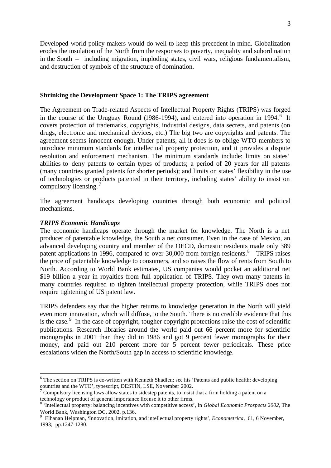Developed world policy makers would do well to keep this precedent in mind. Globalization erodes the insulation of the North from the responses to poverty, inequality and subordination in the South – including migration, imploding states, civil wars, religious fundamentalism, and destruction of symbols of the structure of domination.

#### **Shrinking the Development Space 1: The TRIPS agreement**

The Agreement on Trade-related Aspects of Intellectual Property Rights (TRIPS) was forged in the course of the Uruguay Round (1986-1994), and entered into operation in 1994.<sup>6</sup> It covers protection of trademarks, copyrights, industrial designs, data secrets, and patents (on drugs, electronic and mechanical devices, etc.) The big two are copyrights and patents. The agreement seems innocent enough. Under patents, all it does is to oblige WTO members to introduce minimum standards for intellectual property protection, and it provides a dispute resolution and enforcement mechanism. The minimum standards include: limits on states' abilities to deny patents to certain types of products; a period of 20 years for all patents (many countries granted patents for shorter periods); and limits on states' flexibility in the use of technologies or products patented in their territory, including states' ability to insist on compulsory licensing. <sup>7</sup>

The agreement handicaps developing countries through both economic and political mechanisms.

#### *TRIPS Economic Handicaps*

l

The economic handicaps operate through the market for knowledge. The North is a net producer of patentable knowledge, the South a net consumer. Even in the case of Mexico, an advanced developing country and member of the OECD, domestic residents made only 389 patent applications in 1996, compared to over 30,000 from foreign residents.<sup>8</sup> TRIPS raises the price of patentable knowledge to consumers, and so raises the flow of rents from South to North. According to World Bank estimates, US companies would pocket an additional net \$19 billion a year in royalties from full application of TRIPS. They own many patents in many countries required to tighten intellectual property protection, while TRIPS does not require tightening of US patent law.

TRIPS defenders say that the higher returns to knowledge generation in the North will yield even more innovation, which will diffuse, to the South. There is no credible evidence that this is the case.<sup>9</sup> In the case of copyright, tougher copyright protections raise the cost of scientific publications. Research libraries around the world paid out 66 percent more for scientific monographs in 2001 than they did in 1986 and got 9 percent fewer monographs for their money, and paid out 210 percent more for 5 percent fewer periodicals. These price escalations widen the North/South gap in access to scientific knowledge.

 $6$  The section on TRIPS is co-written with Kenneth Shadlen; see his 'Patents and public health: developing countries and the WTO', typescript, DESTIN, LSE, November 2002.

 $7$  Compulsory licensing laws allow states to sidestep patents, to insist that a firm holding a patent on a technology or product of general importance license it to other firms.

<sup>&</sup>lt;sup>8</sup> 'Intellectual property: balancing incentives with competitive access', in *Global Economic Prospects 2002*, The World Bank, Washington DC, 2002, p.136.

<sup>9</sup> Elhanan Helpman, 'Innovation, imitation, and intellectual property rights', *Econometrica*, 61, 6 November, 1993, pp.1247-1280.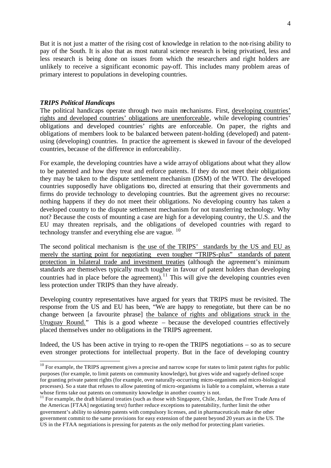But it is not just a matter of the rising cost of knowledge in relation to the not-rising ability to pay of the South. It is also that as most natural science research is being privatised, less and less research is being done on issues from which the researchers and right holders are unlikely to receive a significant economic pay-off. This includes many problem areas of primary interest to populations in developing countries.

#### *TRIPS Political Handicaps*

l

The political handicaps operate through two main mechanisms. First, developing countries' rights and developed countries' obligations are unenforceable*,* while developing countries' obligations and developed countries' rights are enforceable. On paper, the rights and obligations of members look to be balanced between patent-holding (developed) and patentusing (developing) countries. In practice the agreement is skewed in favour of the developed countries, because of the difference in enforceability.

For example, the developing countries have a wide array of obligations about what they allow to be patented and how they treat and enforce patents. If they do not meet their obligations they may be taken to the dispute settlement mechanism (DSM) of the WTO. The developed countries supposedly have obligations too, directed at ensuring that their governments and firms do provide technology to developing countries. But the agreement gives no recourse: nothing happens if they do not meet their obligations. No developing country has taken a developed country to the dispute settlement mechanism for not transferring technology. Why not? Because the costs of mounting a case are high for a developing country, the U.S. and the EU may threaten reprisals, and the obligations of developed countries with regard to technology transfer and everything else are vague. <sup>10</sup>

The second political mechanism is the use of the TRIPS' standards by the US and EU as merely the starting point for negotiating even tougher "TRIPS-plus" standards of patent protection in bilateral trade and investment treaties (although the agreement's minimum standards are themselves typically much tougher in favour of patent holders than developing countries had in place before the agreement).<sup>11</sup> This will give the developing countries even less protection under TRIPS than they have already.

Developing country representatives have argued for years that TRIPS must be revisited. The response from the US and EU has been, "We are happy to renegotiate, but there can be no change between [a favourite phrase] the balance of rights and obligations struck in the Uruguay Round." This is a good wheeze – because the developed countries effectively placed themselves under no obligations in the TRIPS agreement.

Indeed, the US has been active in trying to re-open the TRIPS negotiations – so as to secure even stronger protections for intellectual property. But in the face of developing country

 $10$  For example, the TRIPS agreement gives a precise and narrow scope for states to limit patent rights for public purposes (for example, to limit patents on community knowledge), but gives wide and vaguely-defined scope for granting private patent rights (for example, over naturally-occurring micro-organisms and micro-biological processes). So a state that refuses to allow patenting of micro-organisms is liable to a complaint, whereas a state whose firms take out patents on community knowledge in another country is not.

<sup>&</sup>lt;sup>11</sup> For example, the draft bilateral treaties (such as those with Singapore, Chile, Jordan, the Free Trade Area of the Americas [FTAA] negotiating text) further reduce exceptions to patentability, further limit the other government's ability to sidestep patents with compulsory licenses, and in pharmaceuticals make the other government commit to the same provisions for easy extension of the patent beyond 20 years as in the US. The US in the FTAA negotiations is pressing for patents as the only method for protecting plant varieties.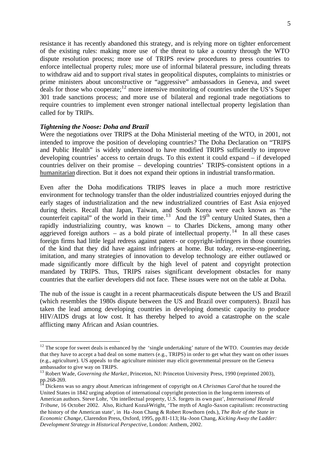resistance it has recently abandoned this strategy, and is relying more on tighter enforcement of the existing rules: making more use of the threat to take a country through the WTO dispute resolution process; more use of TRIPS review procedures to press countries to enforce intellectual property rules; more use of informal bilateral pressure, including threats to withdraw aid and to support rival states in geopolitical disputes, complaints to ministries or prime ministers about unconstructive or "aggressive" ambassadors in Geneva, and sweet deals for those who cooperate; $^{12}$  more intensive monitoring of countries under the US's Super 301 trade sanctions process; and more use of bilateral and regional trade negotiations to require countries to implement even stronger national intellectual property legislation than called for by TRIPs.

#### *Tightening the Noose: Doha and Brazil*

l

Were the negotiations over TRIPS at the Doha Ministerial meeting of the WTO, in 2001, not intended to improve the position of developing countries? The Doha Declaration on "TRIPS and Public Health" is widely understood to have modified TRIPS sufficiently to improve developing countries' access to certain drugs. To this extent it could expand – if developed countries deliver on their promise – developing countries' TRIPS-consistent options in a humanitarian direction. But it does not expand their options in industrial transformation.

Even after the Doha modifications TRIPS leaves in place a much more restrictive environment for technology transfer than the older industrialized countries enjoyed during the early stages of industrialization and the new industrialized countries of East Asia enjoyed during theirs. Recall that Japan, Taiwan, and South Korea were each known as "the counterfeit capital" of the world in their time.<sup>13</sup> And the  $19<sup>th</sup>$  century United States, then a rapidly industrializing country, was known – to Charles Dickens, among many other aggrieved foreign authors – as a bold pirate of intellectual property.<sup>14</sup> In all these cases foreign firms had little legal redress against patent- or copyright-infringers in those countries of the kind that they did have against infringers at home. But today, reverse-engineering, imitation, and many strategies of innovation to develop technology are either outlawed or made significantly more difficult by the high level of patent and copyright protection mandated by TRIPS. Thus, TRIPS raises significant development obstacles for many countries that the earlier developers did not face. These issues were not on the table at Doha.

The nub of the issue is caught in a recent pharmaceuticals dispute between the US and Brazil (which resembles the 1980s dispute between the US and Brazil over computers). Brazil has taken the lead among developing countries in developing domestic capacity to produce HIV/AIDS drugs at low cost. It has thereby helped to avoid a catastrophe on the scale afflicting many African and Asian countries.

<sup>&</sup>lt;sup>12</sup> The scope for sweet deals is enhanced by the 'single undertaking' nature of the WTO. Countries may decide that they have to accept a bad deal on some matters (e.g., TRIPS) in order to get what they want on other issues (e.g., agriculture). US appeals to the agriculture minister may elicit governmental pressure on the Geneva ambassador to give way on TRIPS.

<sup>&</sup>lt;sup>13</sup> Robert Wade, *Governing the Market*, Princeton, NJ: Princeton University Press, 1990 (reprinted 2003), pp.268-269.

<sup>14</sup> Dickens was so angry about American infringement of copyright on *A Christmas Carol* that he toured the United States in 1842 urging adoption of international copyright protection in the long-term interests of American authors. Steve Lohr, 'On intellectual property, U.S. forgets its own past', *International Herald Tribune*, 16 October 2002. Also, Richard Kozul-Wright, 'The myth of Anglo-Saxon capitalism: reconstructing the history of the American state', in Ha -Joon Chang & Robert Rowthorn (eds.), *The Role of the State in Economic Change*, Clarendon Press, Oxford, 1995, pp.81-113; Ha -Joon Chang, *Kicking Away the Ladder: Development Strategy in Historical Perspective*, London: Anthem, 2002.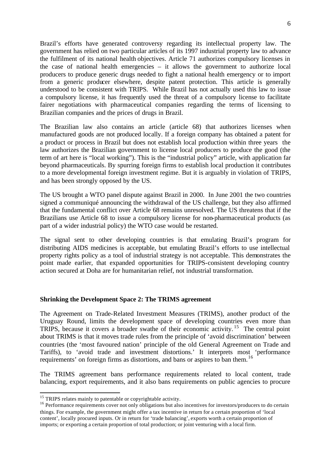Brazil's efforts have generated controversy regarding its intellectual property law. The government has relied on two particular articles of its 1997 industrial property law to advance the fulfilment of its national health objectives. Article 71 authorizes compulsory licenses in the case of national health emergencies – it allows the government to authorize local producers to produce generic drugs needed to fight a national health emergency or to import from a generic producer elsewhere, despite patent protection. This article is generally understood to be consistent with TRIPS. While Brazil has not actually used this law to issue a compulsory license, it has frequently used the threat of a compulsory license to facilitate fairer negotiations with pharmaceutical companies regarding the terms of licensing to Brazilian companies and the prices of drugs in Brazil.

The Brazilian law also contains an article (article 68) that authorizes licenses when manufactured goods are not produced locally. If a foreign company has obtained a patent for a product or process in Brazil but does not establish local production within three years the law authorizes the Brazilian government to license local producers to produce the good (the term of art here is "local working"). This is the "industrial policy" article, with application far beyond pharmaceuticals. By spurring foreign firms to establish local production it contributes to a more developmental foreign investment regime. But it is arguably in violation of TRIPS, and has been strongly opposed by the US.

The US brought a WTO panel dispute against Brazil in 2000. In June 2001 the two countries signed a communiqué announcing the withdrawal of the US challenge, but they also affirmed that the fundamental conflict over Article 68 remains unresolved. The US threatens that if the Brazilians use Article 68 to issue a compulsory license for non-pharmaceutical products (as part of a wider industrial policy) the WTO case would be restarted.

The signal sent to other developing countries is that emulating Brazil's program for distributing AIDS medicines is acceptable, but emulating Brazil's efforts to use intellectual property rights policy as a tool of industrial strategy is not acceptable. This demonstrates the point made earlier, that expanded opportunities for TRIPS-consistent developing country action secured at Doha are for humanitarian relief, not industrial transformation.

#### **Shrinking the Development Space 2: The TRIMS agreement**

The Agreement on Trade-Related Investment Measures (TRIMS), another product of the Uruguay Round, limits the development space of developing countries even more than TRIPS, because it covers a broader swathe of their economic activity. <sup>15</sup> The central point about TRIMS is that it moves trade rules from the principle of 'avoid discrimination' between countries (the 'most favoured nation' principle of the old General Agreement on Trade and Tariffs), to 'avoid trade and investment distortions.' It interprets most 'performance requirements' on foreign firms as distortions, and bans or aspires to ban them.<sup>16</sup>

The TRIMS agreement bans performance requirements related to local content, trade balancing, export requirements, and it also bans requirements on public agencies to procure

<sup>&</sup>lt;sup>15</sup> TRIPS relates mainly to patentable or copyrightable activity.

<sup>&</sup>lt;sup>16</sup> Performance requirements cover not only obligations but also incentives for investors/producers to do certain things. For example, the government might offer a tax incentive in return for a certain proportion of 'local content', locally procured inputs. Or in return for 'trade balancing', exports worth a certain proportion of imports; or exporting a certain proportion of total production; or joint venturing with a local firm.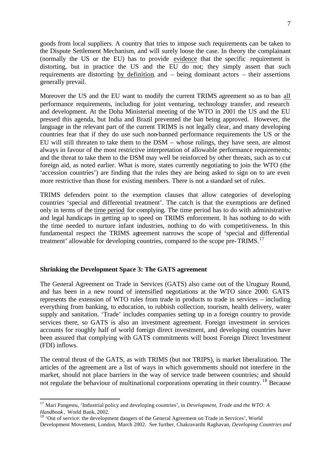goods from local suppliers. A country that tries to impose such requirements can be taken to the Dispute Settlement Mechanism, and will surely loose the case. In theory the complainant (normally the US or the EU) has to provide evidence that the specific requirement is distorting, but in practice the US and the EU do not; they simply assert that such requirements are distorting by definition, and – being dominant actors – their assertions generally prevail.

Moreover the US and the EU want to modify the current TRIMS agreement so as to ban all performance requirements, including for joint venturing, technology transfer, and research and development. At the Doha Ministerial meeting of the WTO in 2001 the US and the EU pressed this agenda, but India and Brazil prevented the ban being approved. However, the language in the relevant part of the current TRIMS is not legally clear, and many developing countries fear that if they do use such non-banned performance requirements the US or the EU will still threaten to take them to the DSM – whose rulings, they have seen, are almost always in favour of the most restrictive interpretation of allowable performance requirements; and the threat to take them to the DSM may well be reinforced by other threats, such as to cut foreign aid, as noted earlier. What is more, states currently negotiating to join the WTO (the 'accession countries') are finding that the rules they are being asked to sign on to are even more restrictive than those for existing members. There is not a standard set of rules.

TRIMS defenders point to the exemption clauses that allow categories of developing countries 'special and differential treatment'. The catch is that the exemptions are defined only in terms of the time period for complying. The time period has to do with administrative and legal handicaps in getting up to speed on TRIMS enforcement. It has nothing to do with the time needed to nurture infant industries, nothing to do with competitiveness. In this fundamental respect the TRIMS agreement narrows the scope of 'special and differential treatment' allowable for developing countries, compared to the scope pre-TRIMS.<sup>17</sup>

#### **Shrinking the Development Space 3: The GATS agreement**

l

The General Agreement on Trade in Services (GATS) also came out of the Uruguay Round, and has been in a new round of intensified negotiations at the WTO since 2000. GATS represents the extension of WTO rules from trade in products to trade in services – including everything from banking, to education, to rubbish collection, tourism, health delivery, water supply and sanitation. 'Trade' includes companies setting up in a foreign country to provide services there, so GATS is also an investment agreement. Foreign investment in services accounts for roughly half of world foreign direct investment, and developing countries have been assured that complying with GATS commitments will boost Foreign Direct Investment (FDI) inflows.

The central thrust of the GATS, as with TRIMS (but not TRIPS), is market liberalization. The articles of the agreement are a list of ways in which governments should not interfere in the market, should not place barriers in the way of service trade between countries; and should not regulate the behaviour of multinational corporations operating in their country.<sup>18</sup> Because

<sup>17</sup> Mari Pangestu, 'Industrial policy and developing countries', in *Development, Trade and the WTO: A Handbook* , World Bank, 2002.

<sup>&</sup>lt;sup>18</sup> 'Out of service: the development dangers of the General Agreement on Trade in Services', World Development Movement, London, March 2002. See further, Chakravarthi Raghavan, *Developing Countries and*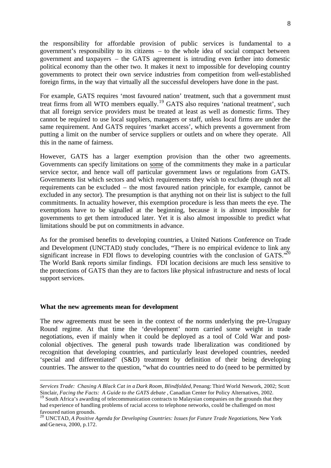the responsibility for affordable provision of public services is fundamental to a government's responsibility to its citizens – to the whole idea of social compact between government and taxpayers – the GATS agreement is intruding even further into domestic political economy than the other two. It makes it next to impossible for developing country governments to protect their own service industries from competition from well-established foreign firms, in the way that virtually all the successful developers have done in the past.

For example, GATS requires 'most favoured nation' treatment, such that a government must treat firms from all WTO members equally.<sup>19</sup> GATS also requires 'national treatment', such that all foreign service providers must be treated at least as well as domestic firms. They cannot be required to use local suppliers, managers or staff, unless local firms are under the same requirement. And GATS requires 'market access', which prevents a government from putting a limit on the number of service suppliers or outlets and on where they operate. All this in the name of fairness.

However, GATS has a larger exemption provision than the other two agreements. Governments can specify limitations on some of the commitments they make in a particular service sector, and hence wall off particular government laws or regulations from GATS. Governments list which sectors and which requirements they wish to exclude (though not all requirements can be excluded – the most favoured nation principle, for example, cannot be excluded in any sector). The presumption is that anything not on their list is subject to the full commitments. In actuality however, this exemption procedure is less than meets the eye. The exemptions have to be signalled at the beginning, because it is almost impossible for governments to get them introduced later. Yet it is also almost impossible to predict what limitations should be put on commitments in advance.

As for the promised benefits to developing countries, a United Nations Conference on Trade and Development (UNCTAD) study concludes, "There is no empirical evidence to link any significant increase in FDI flows to developing countries with the conclusion of GATS.<sup>20</sup> The World Bank reports similar findings. FDI location decisions are much less sensitive to the protections of GATS than they are to factors like physical infrastructure and nests of local support services.

#### **What the new agreements mean for development**

l

The new agreements must be seen in the context of the norms underlying the pre-Uruguay Round regime. At that time the 'development' norm carried some weight in trade negotiations, even if mainly when it could be deployed as a tool of Cold War and postcolonial objectives. The general push towards trade liberalization was conditioned by recognition that developing countries, and particularly least developed countries, needed 'special and differentiated' (S&D) treatment by definition of their being developing countries. The answer to the question, "what do countries need to do (need to be permitted by

*Services Trade: Chasing A Black Cat in a Dark Room, Blindfolded,* Penang: Third World Network, 2002; Scott Sinclair, *Facing the Facts: A Guide to the GATS debate* , Canadian Center for Policy Alternatives, 2002.

<sup>&</sup>lt;sup>19</sup> South Africa's awarding of telecommunication contracts to Malaysian companies on the grounds that they had experience of handling problems of racial access to telephone networks, could be challenged on most favoured nation grounds.

<sup>20</sup> UNCTAD, *A Positive Agenda for Developing Countries: Issues for Future Trade Negotiations*, New York and Geneva, 2000, p.172.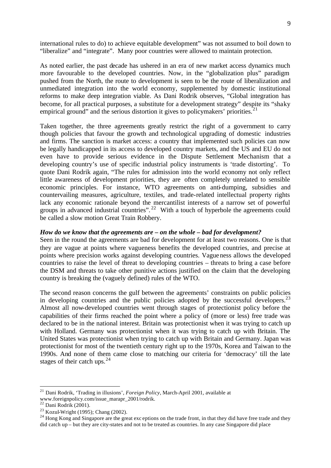international rules to do) to achieve equitable development" was not assumed to boil down to "liberalize" and "integrate". Many poor countries were allowed to maintain protection.

As noted earlier, the past decade has ushered in an era of new market access dynamics much more favourable to the developed countries. Now, in the "globalization plus" paradigm pushed from the North, the route to development is seen to be the route of liberalization and unmediated integration into the world economy, supplemented by domestic institutional reforms to make deep integration viable. As Dani Rodrik observes, "Global integration has become, for all practical purposes, a substitute for a development strategy" despite its "shaky empirical ground" and the serious distortion it gives to policymakers' priorities.<sup>21</sup>

Taken together, the three agreements greatly restrict the right of a government to carry though policies that favour the growth and technological upgrading of domestic industries and firms. The sanction is market access: a country that implemented such policies can now be legally handicapped in its access to developed country markets, and the US and EU do not even have to provide serious evidence in the Dispute Settlement Mechanism that a developing country's use of specific industrial policy instruments is 'trade distorting'. To quote Dani Rodrik again, "The rules for admission into the world economy not only reflect little awareness of development priorities, they are often completely unrelated to sensible economic principles. For instance, WTO agreements on anti-dumping, subsidies and countervailing measures, agriculture, textiles, and trade-related intellectual property rights lack any economic rationale beyond the mercantilist interests of a narrow set of powerful groups in advanced industrial countries". <sup>22</sup> With a touch of hyperbole the agreements could be called a slow motion Great Train Robbery.

#### *How do we know that the agreements are – on the whole – bad for development?*

Seen in the round the agreements are bad for development for at least two reasons. One is that they are vague at points where vagueness benefits the developed countries, and precise at points where precision works against developing countries. Vagueness allows the developed countries to raise the level of threat to developing countries – threats to bring a case before the DSM and threats to take other punitive actions justified on the claim that the developing country is breaking the (vaguely defined) rules of the WTO.

The second reason concerns the gulf between the agreements' constraints on public policies in developing countries and the public policies adopted by the successful developers.<sup>23</sup> Almost all now-developed countries went through stages of protectionist policy before the capabilities of their firms reached the point where a policy of (more or less) free trade was declared to be in the national interest. Britain was protectionist when it was trying to catch up with Holland. Germany was protectionist when it was trying to catch up with Britain. The United States was protectionist when trying to catch up with Britain and Germany. Japan was protectionist for most of the twentieth century right up to the 1970s, Korea and Taiwan to the 1990s. And none of them came close to matching our criteria for 'democracy' till the late stages of their catch ups. $^{24}$ 

<sup>21</sup> Dani Rodrik, 'Trading in illusions', *Foreign Policy*, March-April 2001, available at

www.foreignpolicy.com/issue\_marapr\_2001/rodrik.

<sup>22</sup> Dani Rodrik (2001).

<sup>23</sup> Kozul-Wright (1995); Chang (2002).

<sup>&</sup>lt;sup>24</sup> Hong Kong and Singapore are the great exc eptions on the trade front, in that they did have free trade and they did catch up – but they are city-states and not to be treated as countries. In any case Singapore did place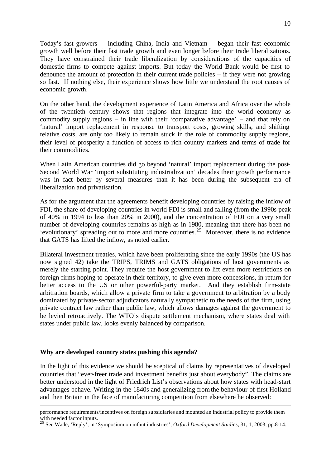Today's fast growers – including China, India and Vietnam – began their fast economic growth well before their fast trade growth and even longer before their trade liberalizations. They have constrained their trade liberalization by considerations of the capacities of domestic firms to compete against imports. But today the World Bank would be first to denounce the amount of protection in their current trade policies – if they were not growing so fast. If nothing else, their experience shows how little we understand the root causes of economic growth.

On the other hand, the development experience of Latin America and Africa over the whole of the twentieth century shows that regions that integrate into the world economy as commodity supply regions – in line with their 'comparative advantage' – and that rely on 'natural' import replacement in response to transport costs, growing skills, and shifting relative costs, are only too likely to remain stuck in the role of commodity supply regions, their level of prosperity a function of access to rich country markets and terms of trade for their commodities.

When Latin American countries did go beyond 'natural' import replacement during the post-Second World War 'import substituting industrialization' decades their growth performance was in fact better by several measures than it has been during the subsequent era of liberalization and privatisation.

As for the argument that the agreements benefit developing countries by raising the inflow of FDI, the share of developing countries in world FDI is small and falling (from the 1990s peak of 40% in 1994 to less than 20% in 2000), and the concentration of FDI on a very small number of developing countries remains as high as in 1980, meaning that there has been no 'evolutionary' spreading out to more and more countries.<sup>25</sup> Moreover, there is no evidence that GATS has lifted the inflow, as noted earlier.

Bilateral investment treaties, which have been proliferating since the early 1990s (the US has now signed 42) take the TRIPS, TRIMS and GATS obligations of host governments as merely the starting point. They require the host government to lift even more restrictions on foreign firms hoping to operate in their territory, to give even more concessions, in return for better access to the US or other powerful-party market. And they establish firm-state arbitration boards, which allow a private firm to take a government to arbitration by a body dominated by private-sector adjudicators naturally sympathetic to the needs of the firm, using private contract law rather than public law, which allows damages against the government to be levied retroactively. The WTO's dispute settlement mechanism, where states deal with states under public law, looks evenly balanced by comparison.

#### **Why are developed country states pushing this agenda?**

l

In the light of this evidence we should be sceptical of claims by representatives of developed countries that "ever-freer trade and investment benefits just about everybody". The claims are better understood in the light of Friedrich List's observations about how states with head-start advantages behave. Writing in the 1840s and generalizing from the behaviour of first Holland and then Britain in the face of manufacturing competition from elsewhere he observed:

performance requirements/incentives on foreign subsidiaries and mounted an industrial policy to provide them with needed factor inputs.

<sup>25</sup> See Wade, 'Reply', in 'Symposium on infant industries', *Oxford Development Studies*, 31, 1, 2003, pp.8-14.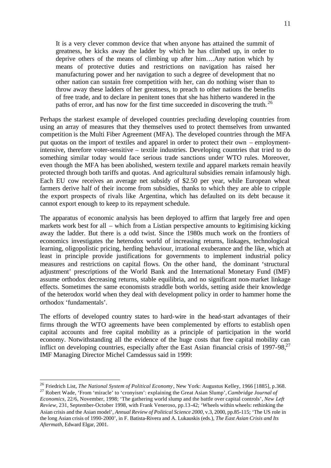It is a very clever common device that when anyone has attained the summit of greatness, he kicks away the ladder by which he has climbed up, in order to deprive others of the means of climbing up after him….Any nation which by means of protective duties and restrictions on navigation has raised her manufacturing power and her navigation to such a degree of development that no other nation can sustain free competition with her, can do nothing wiser than to throw away these ladders of her greatness, to preach to other nations the benefits of free trade, and to declare in penitent tones that she has hitherto wandered in the paths of error, and has now for the first time succeeded in discovering the truth.<sup>26</sup>

Perhaps the starkest example of developed countries precluding developing countries from using an array of measures that they themselves used to protect themselves from unwanted competition is the Multi Fiber Agreement (MFA). The developed countries through the MFA put quotas on the import of textiles and apparel in order to protect their own – employmentintensive, therefore voter-sensitive – textile industries. Developing countries that tried to do something similar today would face serious trade sanctions under WTO rules. Moreover, even though the MFA has been abolished, western textile and apparel markets remain heavily protected through both tariffs and quotas. And agricultural subsidies remain infamously high. Each EU cow receives an average net subsidy of \$2.50 per year, while European wheat farmers derive half of their income from subsidies, thanks to which they are able to cripple the export prospects of rivals like Argentina, which has defaulted on its debt because it cannot export enough to keep to its repayment schedule.

The apparatus of economic analysis has been deployed to affirm that largely free and open markets work best for all – which from a Listian perspective amounts to legitimising kicking away the ladder. But there is a odd twist. Since the 1980s much work on the frontiers of economics investigates the heterodox world of increasing returns, linkages, technological learning, oligopolistic pricing, herding behaviour, irrational exuberance and the like, which at least in principle provide justifications for governments to implement industrial policy measures and restrictions on capital flows. On the other hand, the dominant 'structural adjustment' prescriptions of the World Bank and the International Monetary Fund (IMF) assume orthodox decreasing returns, stable equilibria, and no significant non-market linkage effects. Sometimes the same economists straddle both worlds, setting aside their knowledge of the heterodox world when they deal with development policy in order to hammer home the orthodox 'fundamentals'.

The efforts of developed country states to hard-wire in the head-start advantages of their firms through the WTO agreements have been complemented by efforts to establish open capital accounts and free capital mobility as a principle of participation in the world economy. Notwithstanding all the evidence of the huge costs that free capital mobility can inflict on developing countries, especially after the East Asian financial crisis of 1997-98, $27$ IMF Managing Director Michel Camdessus said in 1999:

<sup>26</sup> Friedrich List, *The National System of Political Economy*, New York: Augustus Kelley, 1966 [1885], p.368. <sup>27</sup> Robert Wade, 'From 'miracle' to 'cronyism': explaining the Great Asian Slump', *Cambridge Journal of Economics*, 22/6, November, 1998; 'The gathering world slump and the battle over capital controls', *New Left Review*, 231, September-October 1998, with Frank Veneroso, pp.13-42; 'Wheels within wheels: rethinking the Asian crisis and the Asian model', *Annual Review of Political Science 2000*, v.3, 2000, pp.85-115; 'The US role in the long Asian crisis of 1990-2000', in F. Batista-Rivera and A. Lukauskis (eds.), *The East Asian Crisis and Its Aftermath*, Edward Elgar, 2001.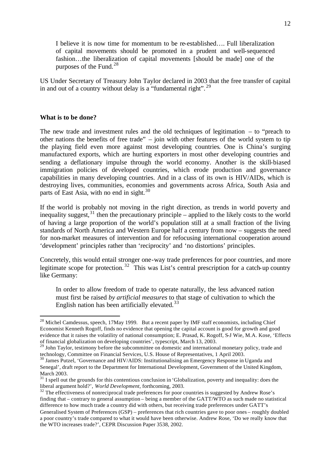I believe it is now time for momentum to be re-established…. Full liberalization of capital movements should be promoted in a prudent and well-sequenced fashion...the liberalization of capital movements [should be made] one of the purposes of the Fund.<sup>28</sup>

US Under Secretary of Treasury John Taylor declared in 2003 that the free transfer of capital in and out of a country without delay is a "fundamental right". <sup>29</sup>

#### **What is to be done?**

l

The new trade and investment rules and the old techniques of legitimation – to "preach to other nations the benefits of free trade" – join with other features of the world system to tip the playing field even more against most developing countries. One is China's surging manufactured exports, which are hurting exporters in most other developing countries and sending a deflationary impulse through the world economy. Another is the skill-biased immigration policies of developed countries, which erode production and governance capabilities in many developing countries. And in a class of its own is HIV/AIDs, which is destroying lives, communities, economies and governments across Africa, South Asia and parts of East Asia, with no end in sight. $30$ 

If the world is probably not moving in the right direction, as trends in world poverty and inequality suggest,  $31$  then the precautionary principle – applied to the likely costs to the world of having a large proportion of the world's population still at a small fraction of the living standards of North America and Western Europe half a century from now – suggests the need for non-market measures of intervention and for refocusing international cooperation around 'development' principles rather than 'reciprocity' and 'no distortions' principles.

Concretely, this would entail stronger one-way trade preferences for poor countries, and more legitimate scope for protection.<sup>32</sup> This was List's central prescription for a catch-up country like Germany:

In order to allow freedom of trade to operate naturally, the less advanced nation must first be raised *by artificial measures* to that stage of cultivation to which the English nation has been artificially elevated. $33$ 

<sup>&</sup>lt;sup>28</sup> Michel Camdessus, speech, 17May 1999. But a recent paper by IMF staff economists, including Chief Economist Kenneth Rogoff, finds no evidence that opening the capital account is good for growth and good evidence that it raises the volatility of national consumption; E. Prasad, K. Rogoff, S-J Wie, M.A. Kose, 'Effects of financial globalization on developing countries', typescript, March 13, 2003.

<sup>&</sup>lt;sup>29</sup> John Taylor, testimony before the subcommittee on domestic and international monetary policy, trade and technology, Committee on Financial Services, U.S. House of Representatives, 1 April 2003.

<sup>&</sup>lt;sup>30</sup> James Putzel, 'Governance and HIV/AIDS: Institutionalising an Emergency Response in Uganda and Senegal', draft report to the Department for International Development, Government of the United Kingdom, March 2003.

<sup>&</sup>lt;sup>31</sup> I spell out the grounds for this contentious conclusion in 'Globalization, poverty and inequality: does the liberal argument hold?', *World Development*, forthcoming, 2003.

<sup>&</sup>lt;sup>32</sup> The effectiveness of nonreciprocal trade preferences for poor countries is suggested by Andrew Rose's finding that – contrary to general assumption – being a member of the GATT/WTO as such made no statistical difference to how much trade a country did with others, but receiving trade preferences under GATT's Generalised System of Preferences (GSP) – preferences that rich countries gave to poor ones – roughly doubled a poor country's trade compared to what it would have been otherwise. Andrew Rose, 'Do we really know that the WTO increases trade?', CEPR Discussion Paper 3538, 2002.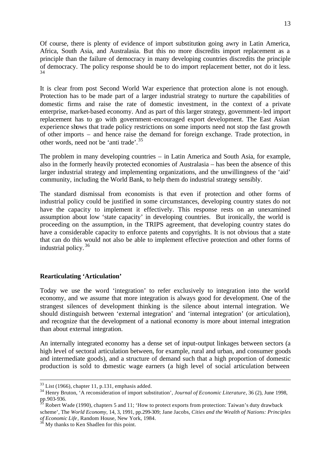Of course, there is plenty of evidence of import substitution going awry in Latin America, Africa, South Asia, and Australasia. But this no more discredits import replacement as a principle than the failure of democracy in many developing countries discredits the principle of democracy. The policy response should be to do import replacement better, not do it less. 34

It is clear from post Second World War experience that protection alone is not enough. Protection has to be made part of a larger industrial strategy to nurture the capabilities of domestic firms and raise the rate of domestic investment, in the context of a private enterprise, market-based economy. And as part of this larger strategy, government-led import replacement has to go with government-encouraged export development. The East Asian experience shows that trade policy restrictions on some imports need not stop the fast growth of other imports – and hence raise the demand for foreign exchange. Trade protection, in other words, need not be 'anti trade'.<sup>35</sup>

The problem in many developing countries – in Latin America and South Asia, for example, also in the formerly heavily protected economies of Australasia – has been the absence of this larger industrial strategy and implementing organizations, and the unwillingness of the 'aid' community, including the World Bank, to help them do industrial strategy sensibly.

The standard dismissal from economists is that even if protection and other forms of industrial policy could be justified in some circumstances, developing country states do not have the capacity to implement it effectively. This response rests on an unexamined assumption about low 'state capacity' in developing countries. But ironically, the world is proceeding on the assumption, in the TRIPS agreement, that developing country states do have a considerable capacity to enforce patents and copyrights. It is not obvious that a state that can do this would not also be able to implement effective protection and other forms of industrial policy.<sup>36</sup>

#### **Rearticulating 'Articulation'**

Today we use the word 'integration' to refer exclusively to integration into the world economy, and we assume that more integration is always good for development. One of the strangest silences of development thinking is the silence about internal integration. We should distinguish between 'external integration' and 'internal integration' (or articulation), and recognize that the development of a national economy is more about internal integration than about external integration.

An internally integrated economy has a dense set of input-output linkages between sectors (a high level of sectoral articulation between, for example, rural and urban, and consumer goods and intermediate goods), and a structure of demand such that a high proportion of domestic production is sold to domestic wage earners (a high level of social articulation between

 $33$  List (1966), chapter 11, p.131, emphasis added.

<sup>34</sup> Henry Bruton, 'A reconsideration of import substitution', *Journal of Economic Literature*, 36 (2), June 1998,  $\frac{1}{35}$ pp.903-936.

<sup>35</sup> Robert Wade (1990), chapters 5 and 11; 'How to protect exports from protection: Taiwan's duty drawback scheme', The *World Economy,* 14, 3, 1991, pp.299-309; Jane Jacobs, *Cities and the Wealth of Nations: Principles of Economic Life*, Random House, New York, 1984.

My thanks to Ken Shadlen for this point.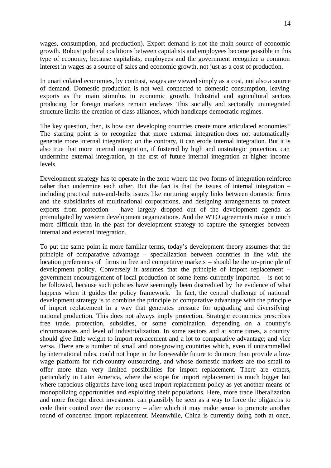wages, consumption, and production). Export demand is not the main source of economic growth. Robust political coalitions between capitalists and employees become possible in this type of economy, because capitalists, employees and the government recognize a common interest in wages as a source of sales and economic growth, not just as a cost of production.

In unarticulated economies, by contrast, wages are viewed simply as a cost, not also a source of demand. Domestic production is not well connected to domestic consumption, leaving exports as the main stimulus to economic growth. Industrial and agricultural sectors producing for foreign markets remain enclaves This socially and sectorally unintegrated structure limits the creation of class alliances, which handicaps democratic regimes.

The key question, then, is how can developing countries create more articulated economies? The starting point is to recognize that more external integration does not automatically generate more internal integration; on the contrary, it can erode internal integration. But it is also true that more internal integration, if fostered by high and unstrategic protection, can undermine external integration, at the cost of future internal integration at higher income levels.

Development strategy has to operate in the zone where the two forms of integration reinforce rather than undermine each other. But the fact is that the issues of internal integration – including practical nuts-and-bolts issues like nurturing supply links between domestic firms and the subsidiaries of multinational corporations, and designing arrangements to protect exports from protection – have largely dropped out of the development agenda as promulgated by western development organizations. And the WTO agreements make it much more difficult than in the past for development strategy to capture the synergies between internal and external integration.

To put the same point in more familiar terms, today's development theory assumes that the principle of comparative advantage – specialization between countries in line with the location preferences of firms in free and competitive markets – should be the ur-principle of development policy. Conversely it assumes that the principle of import replacement – government encouragement of local production of some items currently imported – is not to be followed, because such policies have seemingly been discredited by the evidence of what happens when it guides the policy framework. In fact, the central challenge of national development strategy is to combine the principle of comparative advantage with the principle of import replacement in a way that generates pressure for upgrading and diversifying national production. This does not always imply protection. Strategic economics prescribes free trade, protection, subsidies, or some combination, depending on a country's circumstances and level of industrialization. In some sectors and at some times, a country should give little weight to import replacement and a lot to comparative advantage; and vice versa. There are a number of small and non-growing countries which, even if untrammelled by international rules, could not hope in the foreseeable future to do more than provide a lowwage platform for rich-country outsourcing, and whose domestic markets are too small to offer more than very limited possibilities for import replacement. There are others, particularly in Latin America, where the scope for import repla cement is much bigger but where rapacious oligarchs have long used import replacement policy as yet another means of monopolizing opportunities and exploiting their populations. Here, more trade liberalization and more foreign direct investment can plausibly be seen as a way to force the oligarchs to cede their control over the economy – after which it may make sense to promote another round of concerted import replacement. Meanwhile, China is currently doing both at once,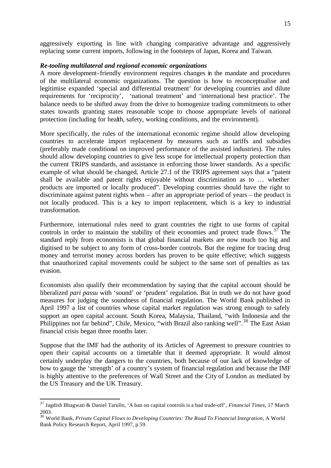aggressively exporting in line with changing comparative advantage and aggressively replacing some current imports, following in the footsteps of Japan, Korea and Taiwan.

#### *Re-tooling multilateral and regional economic organizations*

A more development-friendly environment requires changes in the mandate and procedures of the multilateral economic organizations. The question is how to reconceptualise and legitimise expanded 'special and differential treatment' for developing countries and dilute requirements for 'reciprocity', 'national treatment' and 'international best practice'. The balance needs to be shifted away from the drive to homogenize trading commitments to other states towards granting states reasonable scope to choose appropriate levels of national protection (including for health, safety, working conditions, and the environment).

More specifically, the rules of the international economic regime should allow developing countries to accelerate import replacement by measures such as tariffs and subsidies (preferably made conditional on improved performance of the assisted industries). The rules should allow developing countries to give less scope for intellectual property protection than the current TRIPS standards, and assistance in enforcing those lower standards. As a specific example of what should be changed, Article 27.1 of the TRIPS agreement says that a "patent shall be available and patent rights enjoyable without discrimination as to … whether products are imported or locally produced". Developing countries should have the right to discriminate against patent rights when – after an appropriate period of years – the product is not locally produced. This is a key to import replacement, which is a key to industrial transformation.

Furthermore, international rules need to grant countries the right to use forms of capital controls in order to maintain the stability of their economies and protect trade flows.<sup>37</sup> The standard reply from economists is that global financial markets are now much too big and digitised to be subject to any form of cross-border controls. But the regime for tracing drug money and terrorist money across borders has proven to be quite effective; which suggests that unauthorized capital movements could be subject to the same sort of penalties as tax evasion.

Economists also qualify their recommendation by saying that the capital account should be liberalized *pari passu* with 'sound' or 'prudent' regulation. But in truth we do not have good measures for judging the soundness of financial regulation. The World Bank published in April 1997 a list of countries whose capital market regulation was strong enough to safely support an open capital account. South Korea, Malaysia, Thailand, "with Indonesia and the Philippines not far behind", Chile, Mexico, "with Brazil also ranking well".<sup>38</sup> The East Asian financial crisis began three months later.

Suppose that the IMF had the authority of its Articles of Agreement to pressure countries to open their capital accounts on a timetable that it deemed appropriate. It would almost certainly underplay the dangers to the countries, both because of our lack of knowledge of how to gauge the 'strength' of a country's system of financial regulation and because the IMF is highly attentive to the preferences of Wall Street and the City of London as mediated by the US Treasury and the UK Treasury.

<sup>37</sup> Jagdish Bhagwati & Daniel Tarullo, 'A ban on capital controls is a bad trade-off', *Financial Times*, 17 March 2003.

<sup>38</sup> World Bank, *Private Capital Flows to Developing Countries: The Road To Financial Integration*, A World Bank Policy Research Report, April 1997, p.59.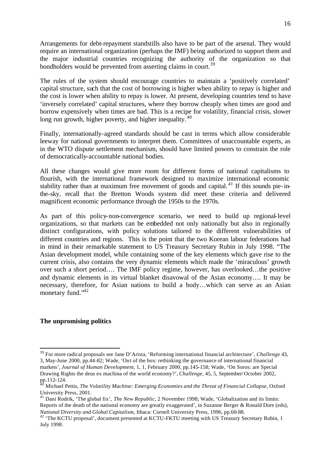Arrangements for debt-repayment standstills also have to be part of the arsenal. They would require an international organization (perhaps the IMF) being authorized to support them and the major industrial countries recognizing the authority of the organization so that bondholders would be prevented from asserting claims in court.<sup>39</sup>

The rules of the system should encourage countries to maintain a 'positively correlated' capital structure, such that the cost of borrowing is higher when ability to repay is higher and the cost is lower when ability to repay is lower. At present, developing countries tend to have 'inversely correlated' capital structures, where they borrow cheaply when times are good and borrow expensively when times are bad. This is a recipe for volatility, financial crisis, slower long run growth, higher poverty, and higher inequality.<sup>40</sup>

Finally, internationally-agreed standards should be cast in terms which allow considerable leeway for national governments to interpret them. Committees of unaccountable experts, as in the WTO dispute settlement mechanism, should have limited powers to constrain the role of democratically-accountable national bodies.

All these changes would give more room for different forms of national capitalisms to flourish, with the international framework designed to maximize international economic stability rather than at maximum free movement of goods and capital.<sup>41</sup> If this sounds pie-inthe-sky, recall that the Bretton Woods system did meet these criteria and delivered magnificent economic performance through the 1950s to the 1970s.

As part of this policy-non-convergence scenario, we need to build up regional-level organizations, so that markets can be embedded not only nationally but also in regionally distinct configurations, with policy solutions tailored to the different vulnerabilities of different countries and regions. This is the point that the two Korean labour federations had in mind in their remarkable statement to US Treasury Secretary Rubin in July 1998. "The Asian development model, while containing some of the key elements which gave rise to the current crisis, also contains the very dynamic elements which made the 'miraculous' growth over such a short period…. The IMF policy regime, however, has overlooked…the positive and dynamic elements in its virtual blanket disavowal of the Asian economy…. It may be necessary, therefore, for Asian nations to build a body…which can serve as an Asian monetary fund. $142$ 

#### **The unpromising politics**

<sup>39</sup> For more radical proposals see Jane D'Arista, 'Reforming international financial architecture', *Challenge* 43, 3, May-June 2000, pp.44-82; Wade, 'Out of the box: rethinking the governance of international financial markets', *Journal of Human Development*, 1, 1, February 2000, pp.145-158; Wade, 'On Soros: are Special Drawing Rights the deus ex machina of the world economy?', *Challenge*, 45, 5, September/ October 2002, pp.112-124.

<sup>40</sup> Michael Pettis, *The Volatility Machine: Emerging Economies and the Threat of Financial Collapse*, Oxford University Press, 2001.

<sup>&</sup>lt;sup>41</sup> Dani Rodrik, 'The global fix', *The New Republic*, 2 November 1998; Wade, 'Globalization and its limits: Reports of the death of the national economy are greatly exaggerated', in Suzanne Berger & Ronald Dore (eds), *National Diversity and Global Capitalism*, Ithaca: Cornell University Press, 1996, pp.60-88.

<sup>&</sup>lt;sup>42</sup> 'The KCTU proposal', document presented at KCTU-FKTU meeting with US Treasury Secretary Rubin, 1 July 1998.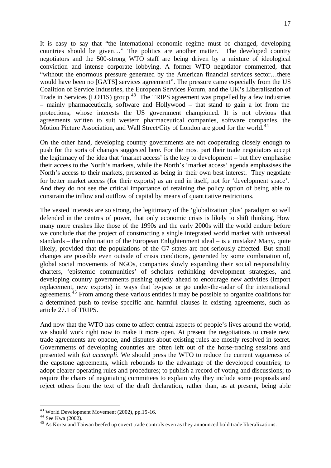It is easy to say that "the international economic regime must be changed, developing countries should be given…" The politics are another matter. The developed country negotiators and the 500-strong WTO staff are being driven by a mixture of ideological conviction and intense corporate lobbying. A former WTO negotiator commented, that "without the enormous pressure generated by the American financial services sector…there would have been no [GATS] services agreement". The pressure came especially from the US Coalition of Service Industries, the European Services Forum, and the UK's Liberalisation of Trade in Services (LOTIS) group.<sup>43</sup> The TRIPS agreement was propelled by a few industries – mainly pharmaceuticals, software and Hollywood – that stand to gain a lot from the protections, whose interests the US government championed. It is not obvious that agreements written to suit western pharmaceutical companies, software companies, the Motion Picture Association, and Wall Street/City of London are good for the world.<sup>44</sup>

On the other hand, developing country governments are not cooperating closely enough to push for the sorts of changes suggested here. For the most part their trade negotiators accept the legitimacy of the idea that 'market access' is the key to development – but they emphasise their access to the North's markets, while the North's 'market access' agenda emphasises the North's access to their markets, presented as being in their own best interest. They negotiate for better market access (for their exports) as an end in itself, not for 'development space'. And they do not see the critical importance of retaining the policy option of being able to constrain the inflow and outflow of capital by means of quantitative restrictions.

The vested interests are so strong, the legitimacy of the 'globalization plus' paradigm so well defended in the centres of power, that only economic crisis is likely to shift thinking. How many more crashes like those of the 1990s and the early 2000s will the world endure before we conclude that the project of constructing a single integrated world market with universal standards – the culmination of the European Enlightenment ideal – is a mistake? Many, quite likely, provided that the populations of the G7 states are not seriously affected. But small changes are possible even outside of crisis conditions, generated by some combination of, global social movements of NGOs, companies slowly expanding their social responsibility charters, 'epistemic communities' of scholars rethinking development strategies, and developing country governments pushing quietly ahead to encourage new activities (import replacement, new exports) in ways that by-pass or go under-the-radar of the international agreements.<sup>45</sup> From among these various entities it may be possible to organize coalitions for a determined push to revise specific and harmful clauses in existing agreements, such as article 27.1 of TRIPS.

And now that the WTO has come to affect central aspects of people's lives around the world, we should work right now to make it more open. At present the negotiations to create new trade agreements are opaque, and disputes about existing rules are mostly resolved in secret. Governments of developing countries are often left out of the horse-trading sessions and presented with *fait accompli*. We should press the WTO to reduce the current vagueness of the capstone agreements, which rebounds to the advantage of the developed countries; to adopt clearer operating rules and procedures; to publish a record of voting and discussions; to require the chairs of negotiating committees to explain why they include some proposals and reject others from the text of the draft declaration, rather than, as at present, being able

<sup>43</sup> World Development Movement (2002), pp.15-16.

 $44$  See Kwa (2002).

<sup>&</sup>lt;sup>45</sup> As Korea and Taiwan beefed up covert trade controls even as they announced bold trade liberalizations.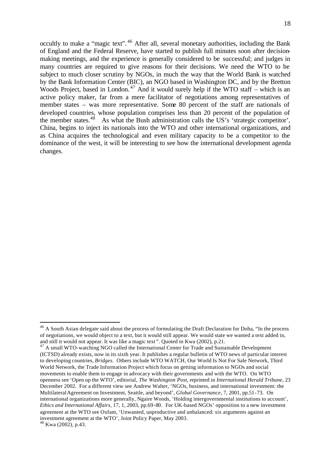occultly to make a "magic text". <sup>46</sup> After all, several monetary authorities, including the Bank of England and the Federal Reserve, have started to publish full minutes soon after decisionmaking meetings, and the experience is generally considered to be successful; and judges in many countries are required to give reasons for their decisions. We need the WTO to be subject to much closer scrutiny by NGOs, in much the way that the World Bank is watched by the Bank Information Center (BIC), an NGO based in Washington DC, and by the Bretton Woods Project, based in London.<sup>47</sup> And it would surely help if the WTO staff – which is an active policy maker, far from a mere facilitator of negotiations among representatives of member states – was more representative. Some 80 percent of the staff are nationals of developed countries, whose population comprises less than 20 percent of the population of the member states.<sup>48</sup> As what the Bush administration calls the US's 'strategic competitor', China, begins to inject its nationals into the WTO and other international organizations, and as China acquires the technological and even military capacity to be a competitor to the dominance of the west, it will be interesting to see how the international development agenda changes.

<sup>&</sup>lt;sup>46</sup> A South Asian delegate said about the process of formulating the Draft Declaration for Doha, "In the process of negotiations, we would object to a text, but it would still appear. We would state we wanted a text added in, and still it would not appear. It was like a magic text ". Quoted in Kwa (2002), p.21.

<sup>&</sup>lt;sup>47</sup> A small WTO-watching NGO called the International Center for Trade and Sustainable Development (ICTSD) already exists, now in its sixth year. It publishes a regular bulletin of WTO news of particular interest to developing countries, *Bridges*. Others include WTO WATCH, Our World Is Not For Sale Network, Third World Network, the Trade Information Project which focus on getting information to NGOs and social movements to enable them to engage in advocacy with their governments and with the WTO. On WTO openness see 'Open up the WTO', editorial, *The Washington Post*, reprinted in *International Herald Tribune*, 23 December 2002. For a different view see Andrew Walter, 'NGOs, business, and international investment: the Multilateral Agreement on Investment, Seattle, and beyond', *Global Governance*, 7, 2001, pp.51-73. On international organizations more generally, Ngaire Woods, 'Holding intergovernmental institutions to account', *Ethics and International Affairs*, 17, 1, 2003, pp.69-80. For UK-based NGOs' opposition to a new investment agreement at the WTO see Oxfam, 'Unwanted, unproductive and unbalanced: six arguments against an investment agreement at the WTO', Joint Policy Paper, May 2003.

 $48$  Kwa (2002), p.43.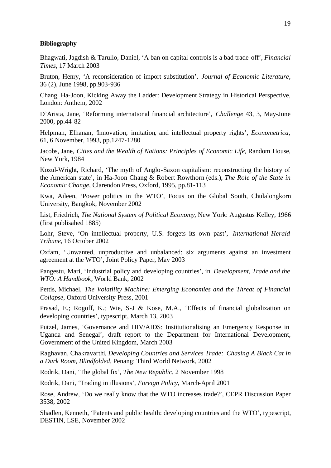#### **Bibliography**

Bhagwati, Jagdish & Tarullo, Daniel, 'A ban on capital controls is a bad trade-off', *Financial Times*, 17 March 2003

Bruton, Henry, 'A reconsideration of import substitution', *Journal of Economic Literature*, 36 (2), June 1998, pp.903-936

Chang, Ha-Joon, Kicking Away the Ladder: Development Strategy in Historical Perspective, London: Anthem, 2002

D'Arista, Jane, 'Reforming international financial architecture', *Challenge* 43, 3, May-June 2000, pp.44-82

Helpman, Elhanan, 'Innovation, imitation, and intellectual property rights', *Econometrica*, 61, 6 November, 1993, pp.1247-1280

Jacobs, Jane, *Cities and the Wealth of Nations: Principles of Economic Life*, Random House, New York, 1984

Kozul-Wright, Richard, 'The myth of Anglo-Saxon capitalism: reconstructing the history of the American state', in Ha-Joon Chang & Robert Rowthorn (eds.), *The Role of the State in Economic Change*, Clarendon Press, Oxford, 1995, pp.81-113

Kwa, Aileen, 'Power politics in the WTO', Focus on the Global South, Chulalongkorn University, Bangkok, November 2002

List, Friedrich, *The National System of Political Economy*, New York: Augustus Kelley, 1966 (first publisahed 1885)

Lohr, Steve, 'On intellectual property, U.S. forgets its own past', *International Herald Tribune*, 16 October 2002

Oxfam, 'Unwanted, unproductive and unbalanced: six arguments against an investment agreement at the WTO', Joint Policy Paper, May 2003

Pangestu, Mari, 'Industrial policy and developing countries', in *Development, Trade and the WTO: A Handbook*, World Bank, 2002

Pettis, Michael, *The Volatility Machine: Emerging Economies and the Threat of Financial Collapse*, Oxford University Press, 2001

Prasad, E.; Rogoff, K.; Wie, S-J & Kose, M.A., 'Effects of financial globalization on developing countries', typescript, March 13, 2003

Putzel, James, 'Governance and HIV/AIDS: Institutionalising an Emergency Response in Uganda and Senegal', draft report to the Department for International Development, Government of the United Kingdom, March 2003

Raghavan, Chakravarthi, *Developing Countries and Services Trade: Chasing A Black Cat in a Dark Room, Blindfolded,* Penang: Third World Network, 2002

Rodrik, Dani, 'The global fix', *The New Republic*, 2 November 1998

Rodrik, Dani, 'Trading in illusions', *Foreign Policy*, March-April 2001

Rose, Andrew, 'Do we really know that the WTO increases trade?', CEPR Discussion Paper 3538, 2002

Shadlen, Kenneth, 'Patents and public health: developing countries and the WTO', typescript, DESTIN, LSE, November 2002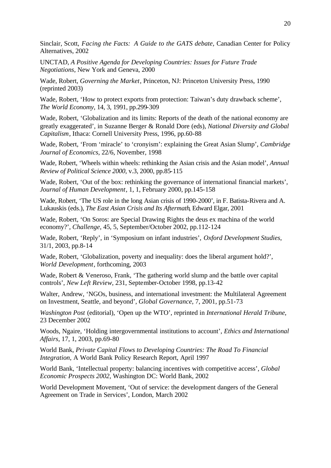Sinclair, Scott, *Facing the Facts: A Guide to the GATS debate,* Canadian Center for Policy Alternatives, 2002

UNCTAD, *A Positive Agenda for Developing Countries: Issues for Future Trade Negotiations*, New York and Geneva, 2000

Wade, Robert, *Governing the Market*, Princeton, NJ: Princeton University Press, 1990 (reprinted 2003)

Wade, Robert, 'How to protect exports from protection: Taiwan's duty drawback scheme', *The World Economy,* 14, 3, 1991, pp.299-309

Wade, Robert, 'Globalization and its limits: Reports of the death of the national economy are greatly exaggerated', in Suzanne Berger & Ronald Dore (eds), *National Diversity and Global Capitalism*, Ithaca: Cornell University Press, 1996, pp.60-88

Wade, Robert, 'From 'miracle' to 'cronyism': explaining the Great Asian Slump', *Cambridge Journal of Economics*, 22/6, November, 1998

Wade, Robert, 'Wheels within wheels: rethinking the Asian crisis and the Asian model', *Annual Review of Political Science 2000*, v.3, 2000, pp.85-115

Wade, Robert, 'Out of the box: rethinking the governance of international financial markets', *Journal of Human Development*, 1, 1, February 2000, pp.145-158

Wade, Robert, 'The US role in the long Asian crisis of 1990-2000', in F. Batista-Rivera and A. Lukauskis (eds.), *The East Asian Crisis and Its Aftermath*, Edward Elgar, 2001

Wade, Robert, 'On Soros: are Special Drawing Rights the deus ex machina of the world economy?', *Challenge*, 45, 5, September/October 2002, pp.112-124

Wade, Robert, 'Reply', in 'Symposium on infant industries', *Oxford Development Studies*, 31/1, 2003, pp.8-14

Wade, Robert, 'Globalization, poverty and inequality: does the liberal argument hold?', *World Development*, forthcoming, 2003

Wade, Robert & Veneroso, Frank, 'The gathering world slump and the battle over capital controls', *New Left Review*, 231, September-October 1998, pp.13-42

Walter, Andrew, 'NGOs, business, and international investment: the Multilateral Agreement on Investment, Seattle, and beyond', *Global Governance*, 7, 2001, pp.51-73

*Washington Post* (editorial), 'Open up the WTO', reprinted in *International Herald Tribune*, 23 December 2002

Woods, Ngaire, 'Holding intergovernmental institutions to account', *Ethics and International Affairs*, 17, 1, 2003, pp.69-80

World Bank, *Private Capital Flows to Developing Countries: The Road To Financial Integration*, A World Bank Policy Research Report, April 1997

World Bank, 'Intellectual property: balancing incentives with competitive access', *Global Economic Prospects 2002*, Washington DC: World Bank, 2002

World Development Movement, 'Out of service: the development dangers of the General Agreement on Trade in Services', London, March 2002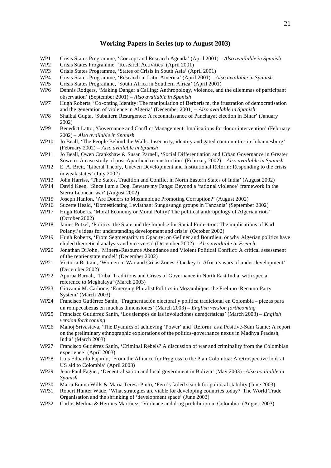#### **Working Papers in Series (up to August 2003)**

- WP1 Crisis States Programme, 'Concept and Research Agenda' (April 2001) *Also available in Spanish*<br>WP2 Crisis States Programme, 'Research Activities' (April 2001)
- WP2 Crisis States Programme, 'Research Activities' (April 2001)<br>WP3 Crisis States Programme. 'States of Crisis in South Asia' (April
- Crisis States Programme, 'States of Crisis in South Asia' (April 2001)
- WP4 Crisis States Programme, 'Research in Latin America' (April 2001) *Also available in Spanish*
- WP5 Crisis States Programme, 'South Africa in Southern Africa' (April 2001)
- WP6 Dennis Rodgers, 'Making Danger a Calling: Anthropology, violence, and the dilemmas of participant observation' (September 2001) – *Also available in Spanish*
- WP7 Hugh Roberts, 'Co-opting Identity: The manipulation of Berberis m, the frustration of democratisation and the generation of violence in Algeria' (December 2001) – *Also available in Spanish*
- WP8 Shaibal Gupta, 'Subaltern Resurgence: A reconnaissance of Panchayat election in Bihar' (January 2002)
- WP9 Benedict Latto, 'Governance and Conflict Management: Implications for donor intervention' (February 2002) – *Also available in Spanish*
- WP10 Jo Beall, 'The People Behind the Walls: Insecurity, identity and gated communities in Johannesburg' (February 2002) – *Also available in Spanish*
- WP11 Jo Beall, Owen Crankshaw & Susan Parnell, 'Social Differentiation and Urban Governance in Greater Soweto: A case study of post-Apartheid reconstruction' (February 2002) – *Also available in Spanish*
- WP12 E. A. Brett, 'Liberal Theory, Uneven Development and Institutional Reform: Responding to the crisis in weak states' (July 2002)
- WP13 John Harriss, 'The States, Tradition and Conflict in North Eastern States of India' (August 2002)
- WP14 David Keen, 'Since I am a Dog, Beware my Fangs: Beyond a 'rational violence' framework in the Sierra Leonean war' (August 2002)
- WP15 Joseph Hanlon, 'Are Donors to Mozambique Promoting Corruption?' (August 2002)
- WP16 Suzette Heald, 'Domesticating Leviathan: Sungusungu groups in Tanzania' (September 2002)
- WP17 Hugh Roberts, 'Moral Economy or Moral Polity? The political anthropology of Algerian riots' (October 2002)
- WP18 James Putzel, 'Politics, the State and the Impulse for Social Protection: The implications of Karl Polanyi's ideas for understanding development and crisis' (October 2002)
- WP19 Hugh Roberts, 'From Segmentarity to Opacity: on Gellner and Bourdieu, or why Algerian politics have eluded theoretical analysis and vice versa' (December 2002) – *Also available in French*
- WP20 Jonathan DiJohn, 'Mineral-Resource Abundance and Violent Political Conflict: A critical assessment of the rentier state model' (December 2002)
- WP21 Victoria Brittain, 'Women in War and Crisis Zones: One key to Africa's wars of under-development' (December 2002)
- WP22 Apurba Baruah, 'Tribal Traditions and Crises of Governance in North East India, with special reference to Meghalaya' (March 2003)
- WP23 Giovanni M. Carbone, 'Emerging Pluralist Politics in Mozambique: the Frelimo -Renamo Party System' (March 2003)
- WP24 Francisco Gutiérrez Sanín, 'Fragmentación electoral y política tradicional en Colombia piezas para un rompecabezas en muchas dimensiones' (March 2003) – *English version forthcoming*
- WP25 Francisco Gutiérrez Sanín, 'Los tiempos de las involuciones democráticas' (March 2003) *English version forthcoming*
- WP26 Manoj Srivastava, 'The Dyamics of achieving 'Power' and 'Reform' as a Positive-Sum Game: A report on the preliminary ethnographic explorations of the politics-governance nexus in Madhya Pradesh, India' (March 2003)
- WP27 Francisco Gutiérrez Sanín, 'Criminal Rebels? A discussion of war and criminality from the Colombian experience' (April 2003)
- WP28 Luis Eduardo Fajardo, 'From the Alliance for Progress to the Plan Colombia: A retrospective look at US aid to Colombia' (April 2003)
- WP29 Jean-Paul Faguet, 'Decentralisation and local government in Bolivia' (May 2003) –*Also available in Spanish*
- WP30 Maria Emma Wills & Maria Teresa Pinto, 'Peru's failed search for political stability (June 2003)
- WP31 Robert Hunter Wade, 'What strategies are viable for developing countries today? The World Trade Organisation and the shrinking of 'development space' (June 2003)
- WP32 Carlos Medina & Hermes Martínez, 'Violence and drug prohibition in Colombia' (August 2003)